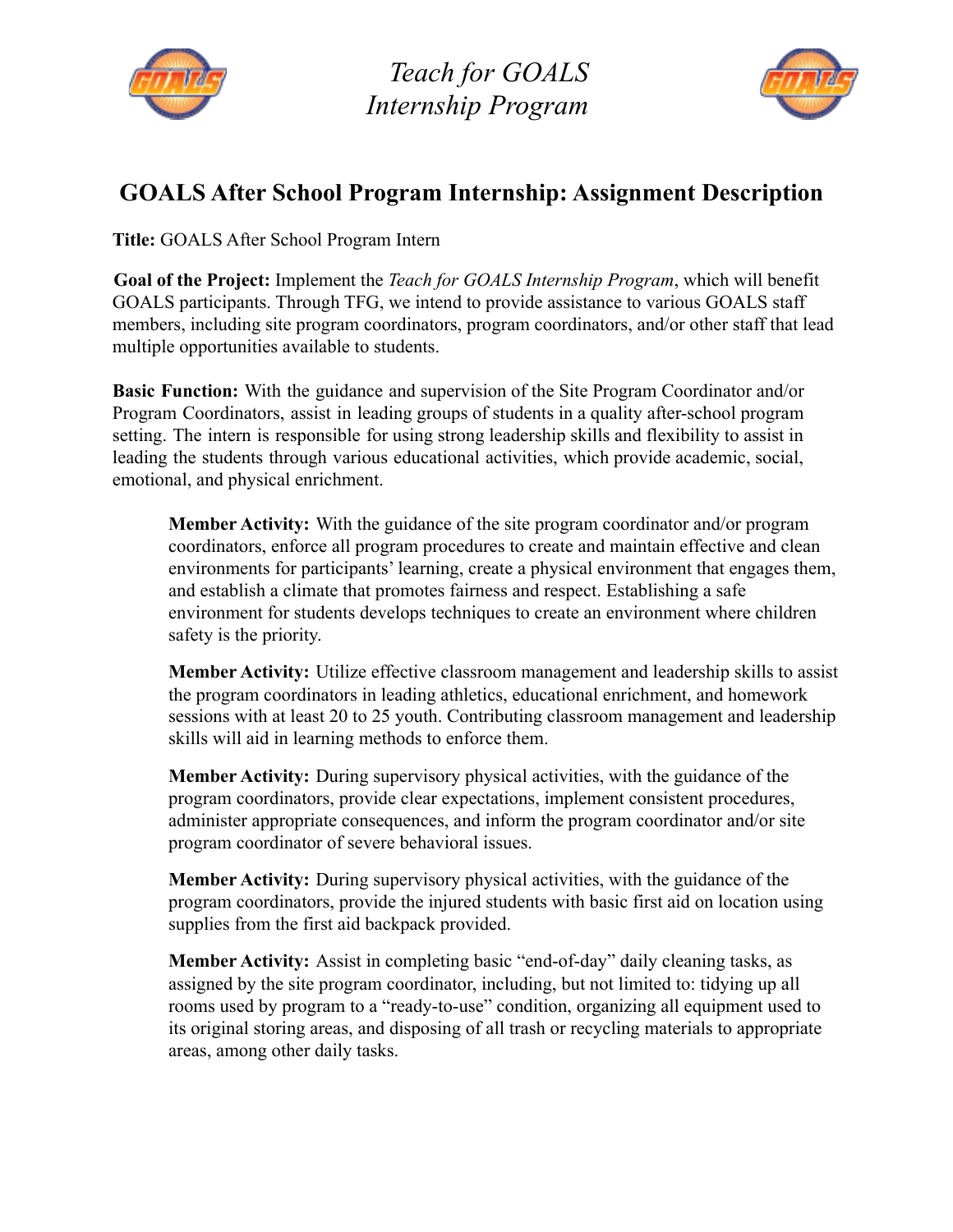

*Teach for GOALS Internship Program*



## **GOALS After School Program Internship: Assignment Description**

**Title:** GOALS After School Program Intern

**Goal of the Project:** Implement the *Teach for GOALS Internship Program*, which will benefit GOALS participants. Through TFG, we intend to provide assistance to various GOALS staff members, including site program coordinators, program coordinators, and/or other staff that lead multiple opportunities available to students.

**Basic Function:** With the guidance and supervision of the Site Program Coordinator and/or Program Coordinators, assist in leading groups of students in a quality after-school program setting. The intern is responsible for using strong leadership skills and flexibility to assist in leading the students through various educational activities, which provide academic, social, emotional, and physical enrichment.

**Member Activity:** With the guidance of the site program coordinator and/or program coordinators, enforce all program procedures to create and maintain effective and clean environments for participants' learning, create a physical environment that engages them, and establish a climate that promotes fairness and respect. Establishing a safe environment for students develops techniques to create an environment where children safety is the priority.

**Member Activity:** Utilize effective classroom management and leadership skills to assist the program coordinators in leading athletics, educational enrichment, and homework sessions with at least 20 to 25 youth. Contributing classroom management and leadership skills will aid in learning methods to enforce them.

**Member Activity:** During supervisory physical activities, with the guidance of the program coordinators, provide clear expectations, implement consistent procedures, administer appropriate consequences, and inform the program coordinator and/or site program coordinator of severe behavioral issues.

**Member Activity:** During supervisory physical activities, with the guidance of the program coordinators, provide the injured students with basic first aid on location using supplies from the first aid backpack provided.

**Member Activity:** Assist in completing basic "end-of-day" daily cleaning tasks, as assigned by the site program coordinator, including, but not limited to: tidying up all rooms used by program to a "ready-to-use" condition, organizing all equipment used to its original storing areas, and disposing of all trash or recycling materials to appropriate areas, among other daily tasks.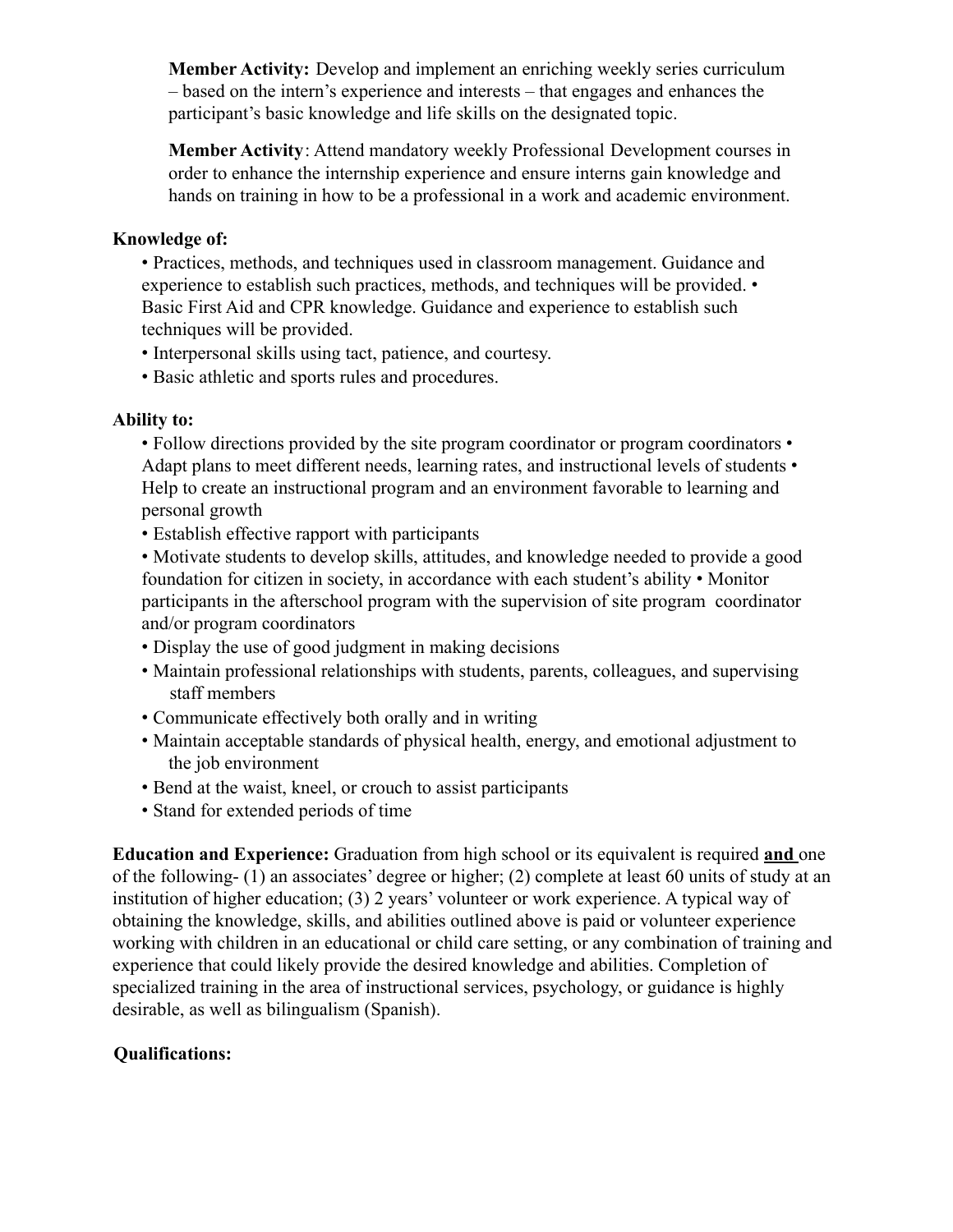**Member Activity:** Develop and implement an enriching weekly series curriculum – based on the intern's experience and interests – that engages and enhances the participant's basic knowledge and life skills on the designated topic.

**Member Activity**: Attend mandatory weekly Professional Development courses in order to enhance the internship experience and ensure interns gain knowledge and hands on training in how to be a professional in a work and academic environment.

## **Knowledge of:**

• Practices, methods, and techniques used in classroom management. Guidance and experience to establish such practices, methods, and techniques will be provided. • Basic First Aid and CPR knowledge. Guidance and experience to establish such techniques will be provided.

- Interpersonal skills using tact, patience, and courtesy.
- Basic athletic and sports rules and procedures.

## **Ability to:**

• Follow directions provided by the site program coordinator or program coordinators • Adapt plans to meet different needs, learning rates, and instructional levels of students • Help to create an instructional program and an environment favorable to learning and personal growth

- Establish effective rapport with participants
- Motivate students to develop skills, attitudes, and knowledge needed to provide a good foundation for citizen in society, in accordance with each student's ability • Monitor participants in the afterschool program with the supervision of site program coordinator and/or program coordinators
- Display the use of good judgment in making decisions
- Maintain professional relationships with students, parents, colleagues, and supervising staff members
- Communicate effectively both orally and in writing
- Maintain acceptable standards of physical health, energy, and emotional adjustment to the job environment
- Bend at the waist, kneel, or crouch to assist participants
- Stand for extended periods of time

**Education and Experience:** Graduation from high school or its equivalent is required **and** one of the following- (1) an associates' degree or higher; (2) complete at least 60 units of study at an institution of higher education; (3) 2 years' volunteer or work experience. A typical way of obtaining the knowledge, skills, and abilities outlined above is paid or volunteer experience working with children in an educational or child care setting, or any combination of training and experience that could likely provide the desired knowledge and abilities. Completion of specialized training in the area of instructional services, psychology, or guidance is highly desirable, as well as bilingualism (Spanish).

## **Qualifications:**